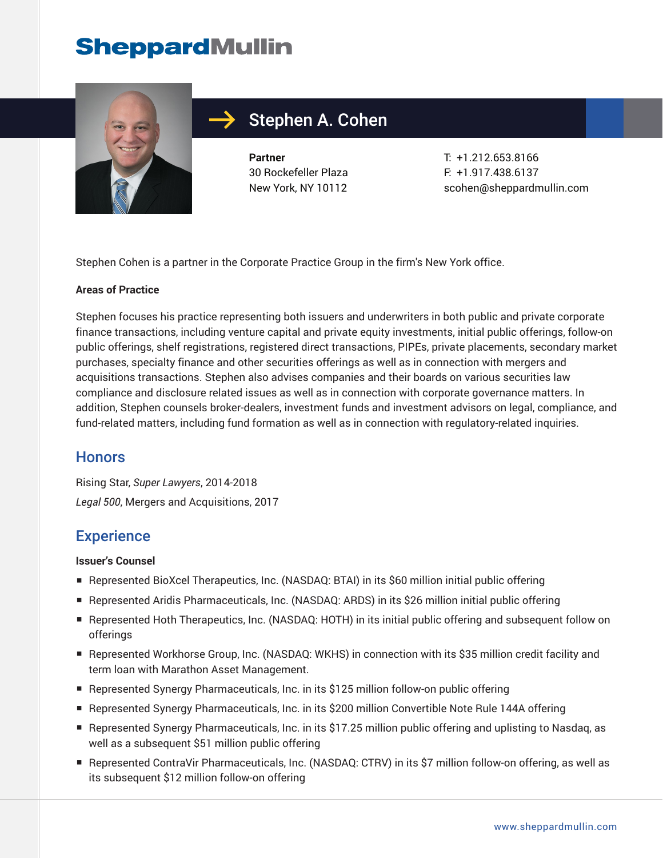

## Stephen A. Cohen

**Partner** 30 Rockefeller Plaza New York, NY 10112

T: +1.212.653.8166 F: +1.917.438.6137 scohen@sheppardmullin.com

Stephen Cohen is a partner in the Corporate Practice Group in the firm's New York office.

### **Areas of Practice**

Stephen focuses his practice representing both issuers and underwriters in both public and private corporate finance transactions, including venture capital and private equity investments, initial public offerings, follow-on public offerings, shelf registrations, registered direct transactions, PIPEs, private placements, secondary market purchases, specialty finance and other securities offerings as well as in connection with mergers and acquisitions transactions. Stephen also advises companies and their boards on various securities law compliance and disclosure related issues as well as in connection with corporate governance matters. In addition, Stephen counsels broker-dealers, investment funds and investment advisors on legal, compliance, and fund-related matters, including fund formation as well as in connection with regulatory-related inquiries.

### **Honors**

Rising Star, *Super Lawyers*, 2014-2018 *Legal 500*, Mergers and Acquisitions, 2017

## **Experience**

#### **Issuer's Counsel**

- Represented BioXcel Therapeutics, Inc. (NASDAQ: BTAI) in its \$60 million initial public offering
- Represented Aridis Pharmaceuticals, Inc. (NASDAQ: ARDS) in its \$26 million initial public offering
- Represented Hoth Therapeutics, Inc. (NASDAQ: HOTH) in its initial public offering and subsequent follow on offerings
- Represented Workhorse Group, Inc. (NASDAQ: WKHS) in connection with its \$35 million credit facility and term loan with Marathon Asset Management.
- Represented Synergy Pharmaceuticals, Inc. in its \$125 million follow-on public offering
- Represented Synergy Pharmaceuticals, Inc. in its \$200 million Convertible Note Rule 144A offering
- Represented Synergy Pharmaceuticals, Inc. in its \$17.25 million public offering and uplisting to Nasdaq, as well as a subsequent \$51 million public offering
- Represented ContraVir Pharmaceuticals, Inc. (NASDAQ: CTRV) in its \$7 million follow-on offering, as well as its subsequent \$12 million follow-on offering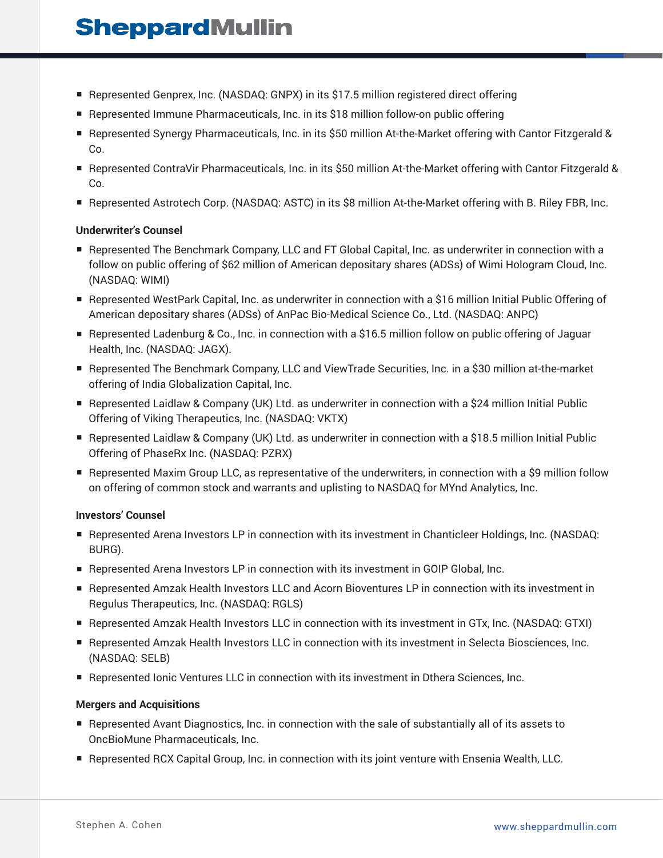- Represented Genprex, Inc. (NASDAQ: GNPX) in its \$17.5 million registered direct offering
- Represented Immune Pharmaceuticals, Inc. in its \$18 million follow-on public offering
- Represented Synergy Pharmaceuticals, Inc. in its \$50 million At-the-Market offering with Cantor Fitzgerald & Co.
- Represented ContraVir Pharmaceuticals, Inc. in its \$50 million At-the-Market offering with Cantor Fitzgerald & Co.
- Represented Astrotech Corp. (NASDAQ: ASTC) in its \$8 million At-the-Market offering with B. Riley FBR, Inc.

#### **Underwriter's Counsel**

- Represented The Benchmark Company, LLC and FT Global Capital, Inc. as underwriter in connection with a follow on public offering of \$62 million of American depositary shares (ADSs) of Wimi Hologram Cloud, Inc. (NASDAQ: WIMI)
- Represented WestPark Capital, Inc. as underwriter in connection with a \$16 million Initial Public Offering of American depositary shares (ADSs) of AnPac Bio-Medical Science Co., Ltd. (NASDAQ: ANPC)
- Represented Ladenburg & Co., Inc. in connection with a \$16.5 million follow on public offering of Jaguar Health, Inc. (NASDAQ: JAGX).
- Represented The Benchmark Company, LLC and ViewTrade Securities, Inc. in a \$30 million at-the-market offering of India Globalization Capital, Inc.
- Represented Laidlaw & Company (UK) Ltd. as underwriter in connection with a \$24 million Initial Public Offering of Viking Therapeutics, Inc. (NASDAQ: VKTX)
- Represented Laidlaw & Company (UK) Ltd. as underwriter in connection with a \$18.5 million Initial Public Offering of PhaseRx Inc. (NASDAQ: PZRX)
- Represented Maxim Group LLC, as representative of the underwriters, in connection with a \$9 million follow on offering of common stock and warrants and uplisting to NASDAQ for MYnd Analytics, Inc.

### **Investors' Counsel**

- Represented Arena Investors LP in connection with its investment in Chanticleer Holdings, Inc. (NASDAQ: BURG).
- Represented Arena Investors LP in connection with its investment in GOIP Global, Inc.
- Represented Amzak Health Investors LLC and Acorn Bioventures LP in connection with its investment in Regulus Therapeutics, Inc. (NASDAQ: RGLS)
- Represented Amzak Health Investors LLC in connection with its investment in GTx, Inc. (NASDAQ: GTXI)
- Represented Amzak Health Investors LLC in connection with its investment in Selecta Biosciences, Inc. (NASDAQ: SELB)
- Represented Ionic Ventures LLC in connection with its investment in Dthera Sciences, Inc.

#### **Mergers and Acquisitions**

- Represented Avant Diagnostics, Inc. in connection with the sale of substantially all of its assets to OncBioMune Pharmaceuticals, Inc.
- Represented RCX Capital Group, Inc. in connection with its joint venture with Ensenia Wealth, LLC.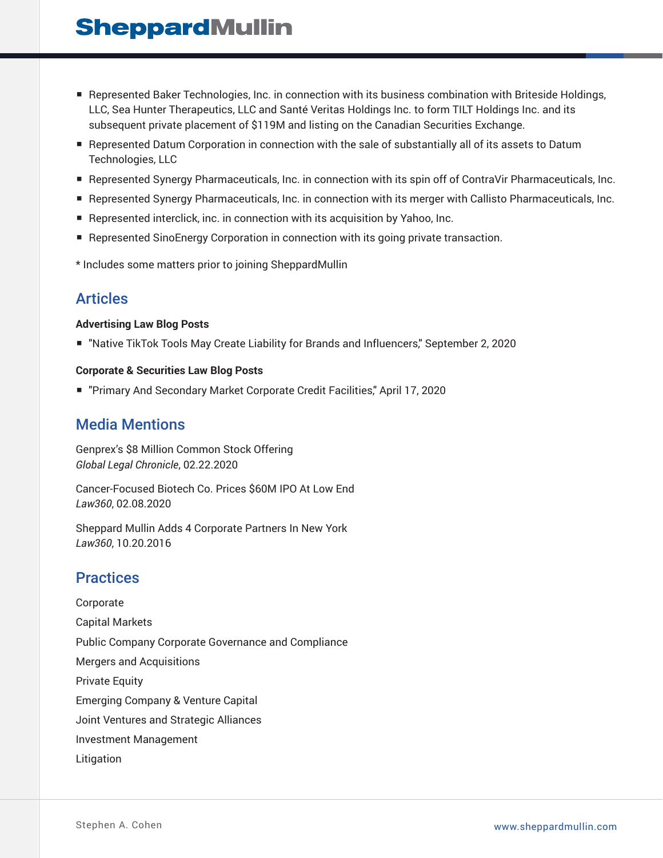- Represented Baker Technologies, Inc. in connection with its business combination with Briteside Holdings, LLC, Sea Hunter Therapeutics, LLC and Santé Veritas Holdings Inc. to form TILT Holdings Inc. and its subsequent private placement of \$119M and listing on the Canadian Securities Exchange.
- Represented Datum Corporation in connection with the sale of substantially all of its assets to Datum Technologies, LLC
- Represented Synergy Pharmaceuticals, Inc. in connection with its spin off of ContraVir Pharmaceuticals, Inc.
- Represented Synergy Pharmaceuticals, Inc. in connection with its merger with Callisto Pharmaceuticals, Inc.
- Represented interclick, inc. in connection with its acquisition by Yahoo, Inc.
- Represented SinoEnergy Corporation in connection with its going private transaction.
- \* Includes some matters prior to joining SheppardMullin

## Articles

### **Advertising Law Blog Posts**

■ "Native TikTok Tools May Create Liability for Brands and Influencers," September 2, 2020

### **Corporate & Securities Law Blog Posts**

■ "Primary And Secondary Market Corporate Credit Facilities," April 17, 2020

## Media Mentions

Genprex's \$8 Million Common Stock Offering *Global Legal Chronicle*, 02.22.2020

Cancer-Focused Biotech Co. Prices \$60M IPO At Low End *Law360*, 02.08.2020

Sheppard Mullin Adds 4 Corporate Partners In New York *Law360*, 10.20.2016

### **Practices**

Corporate Capital Markets Public Company Corporate Governance and Compliance Mergers and Acquisitions Private Equity Emerging Company & Venture Capital Joint Ventures and Strategic Alliances Investment Management Litigation